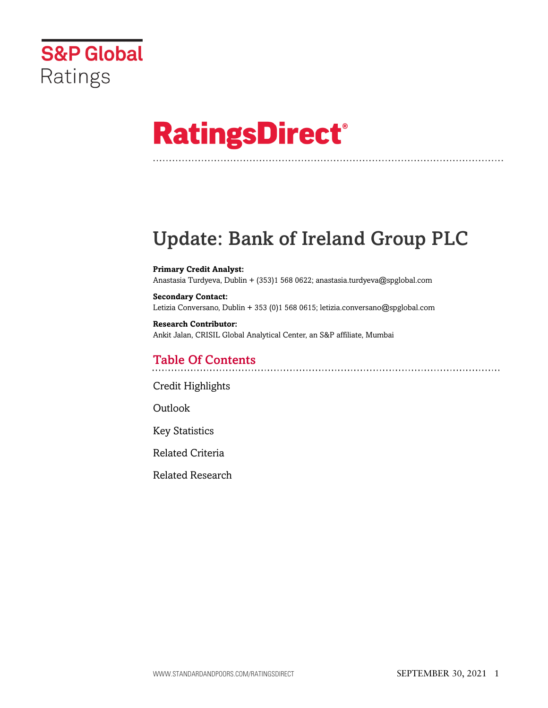

# **RatingsDirect®**

# Update: Bank of Ireland Group PLC

**Primary Credit Analyst:** Anastasia Turdyeva, Dublin + (353)1 568 0622; anastasia.turdyeva@spglobal.com

**Secondary Contact:** Letizia Conversano, Dublin + 353 (0)1 568 0615; letizia.conversano@spglobal.com

**Research Contributor:** Ankit Jalan, CRISIL Global Analytical Center, an S&P affiliate, Mumbai

# Table Of Contents

[Credit Highlights](#page-1-0)

Outlook

[Key Statistics](#page-4-0)

[Related Criteria](#page-7-0)

[Related Research](#page-8-0)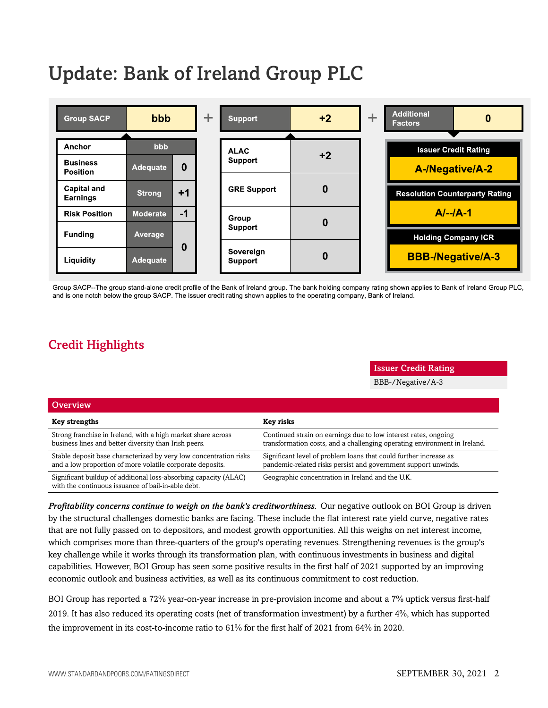# Update: Bank of Ireland Group PLC



Group SACP--The group stand-alone credit profile of the Bank of Ireland group. The bank holding company rating shown applies to Bank of Ireland Group PLC, and is one notch below the group SACP. The issuer credit rating shown applies to the operating company, Bank of Ireland.

# <span id="page-1-0"></span>Credit Highlights

Issuer Credit Rating

BBB-/Negative/A-3

| Overview                                                                                                                       |                                                                                                                                              |
|--------------------------------------------------------------------------------------------------------------------------------|----------------------------------------------------------------------------------------------------------------------------------------------|
| <b>Key strengths</b>                                                                                                           | Key risks                                                                                                                                    |
| Strong franchise in Ireland, with a high market share across<br>business lines and better diversity than Irish peers.          | Continued strain on earnings due to low interest rates, ongoing<br>transformation costs, and a challenging operating environment in Ireland. |
| Stable deposit base characterized by very low concentration risks<br>and a low proportion of more volatile corporate deposits. | Significant level of problem loans that could further increase as<br>pandemic-related risks persist and government support unwinds.          |
| Significant buildup of additional loss-absorbing capacity (ALAC)<br>with the continuous issuance of bail-in-able debt.         | Geographic concentration in Ireland and the U.K.                                                                                             |

*Profitability concerns continue to weigh on the bank's creditworthiness.* Our negative outlook on BOI Group is driven by the structural challenges domestic banks are facing. These include the flat interest rate yield curve, negative rates that are not fully passed on to depositors, and modest growth opportunities. All this weighs on net interest income, which comprises more than three-quarters of the group's operating revenues. Strengthening revenues is the group's key challenge while it works through its transformation plan, with continuous investments in business and digital capabilities. However, BOI Group has seen some positive results in the first half of 2021 supported by an improving economic outlook and business activities, as well as its continuous commitment to cost reduction.

BOI Group has reported a 72% year-on-year increase in pre-provision income and about a 7% uptick versus first-half 2019. It has also reduced its operating costs (net of transformation investment) by a further 4%, which has supported the improvement in its cost-to-income ratio to 61% for the first half of 2021 from 64% in 2020.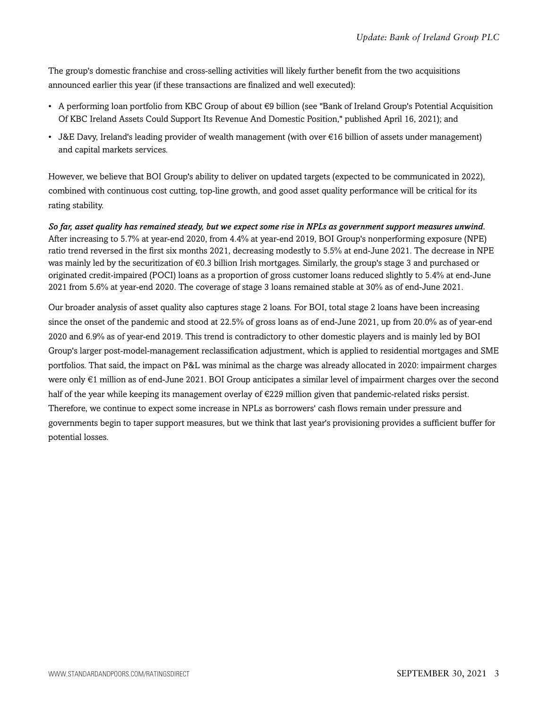The group's domestic franchise and cross-selling activities will likely further benefit from the two acquisitions announced earlier this year (if these transactions are finalized and well executed):

- A performing loan portfolio from KBC Group of about €9 billion (see "Bank of Ireland Group's Potential Acquisition Of KBC Ireland Assets Could Support Its Revenue And Domestic Position," published April 16, 2021); and
- J&E Davy, Ireland's leading provider of wealth management (with over €16 billion of assets under management) and capital markets services.

However, we believe that BOI Group's ability to deliver on updated targets (expected to be communicated in 2022), combined with continuous cost cutting, top-line growth, and good asset quality performance will be critical for its rating stability.

*So far, asset quality has remained steady, but we expect some rise in NPLs as government support measures unwind.* After increasing to 5.7% at year-end 2020, from 4.4% at year-end 2019, BOI Group's nonperforming exposure (NPE) ratio trend reversed in the first six months 2021, decreasing modestly to 5.5% at end-June 2021. The decrease in NPE was mainly led by the securitization of €0.3 billion Irish mortgages. Similarly, the group's stage 3 and purchased or originated credit-impaired (POCI) loans as a proportion of gross customer loans reduced slightly to 5.4% at end-June 2021 from 5.6% at year-end 2020. The coverage of stage 3 loans remained stable at 30% as of end-June 2021.

Our broader analysis of asset quality also captures stage 2 loans. For BOI, total stage 2 loans have been increasing since the onset of the pandemic and stood at 22.5% of gross loans as of end-June 2021, up from 20.0% as of year-end 2020 and 6.9% as of year-end 2019. This trend is contradictory to other domestic players and is mainly led by BOI Group's larger post-model-management reclassification adjustment, which is applied to residential mortgages and SME portfolios. That said, the impact on P&L was minimal as the charge was already allocated in 2020: impairment charges were only €1 million as of end-June 2021. BOI Group anticipates a similar level of impairment charges over the second half of the year while keeping its management overlay of €229 million given that pandemic-related risks persist. Therefore, we continue to expect some increase in NPLs as borrowers' cash flows remain under pressure and governments begin to taper support measures, but we think that last year's provisioning provides a sufficient buffer for potential losses.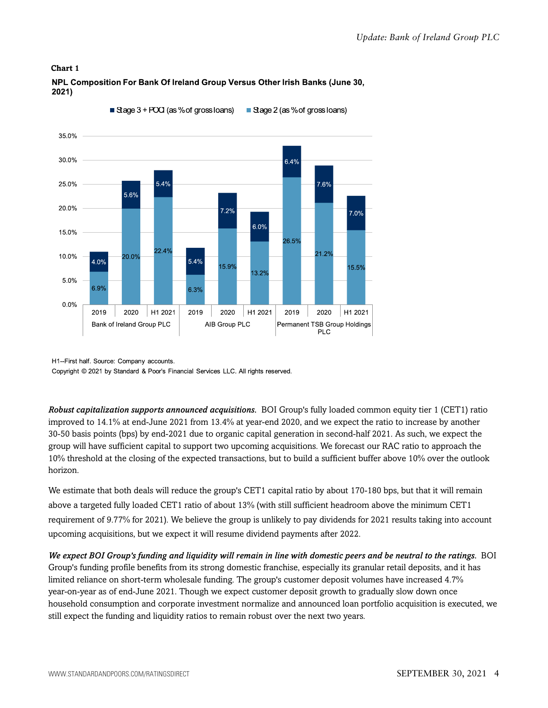#### **Chart 1**



NPL Composition For Bank Of Ireland Group Versus Other Irish Banks (June 30, 2021)

H1--First half. Source: Company accounts.

Copyright © 2021 by Standard & Poor's Financial Services LLC. All rights reserved.

*Robust capitalization supports announced acquisitions.* BOI Group's fully loaded common equity tier 1 (CET1) ratio improved to 14.1% at end-June 2021 from 13.4% at year-end 2020, and we expect the ratio to increase by another 30-50 basis points (bps) by end-2021 due to organic capital generation in second-half 2021. As such, we expect the group will have sufficient capital to support two upcoming acquisitions. We forecast our RAC ratio to approach the 10% threshold at the closing of the expected transactions, but to build a sufficient buffer above 10% over the outlook horizon.

We estimate that both deals will reduce the group's CET1 capital ratio by about 170-180 bps, but that it will remain above a targeted fully loaded CET1 ratio of about 13% (with still sufficient headroom above the minimum CET1 requirement of 9.77% for 2021). We believe the group is unlikely to pay dividends for 2021 results taking into account upcoming acquisitions, but we expect it will resume dividend payments after 2022.

*We expect BOI Group's funding and liquidity will remain in line with domestic peers and be neutral to the ratings.* BOI Group's funding profile benefits from its strong domestic franchise, especially its granular retail deposits, and it has limited reliance on short-term wholesale funding. The group's customer deposit volumes have increased 4.7% year-on-year as of end-June 2021. Though we expect customer deposit growth to gradually slow down once household consumption and corporate investment normalize and announced loan portfolio acquisition is executed, we still expect the funding and liquidity ratios to remain robust over the next two years.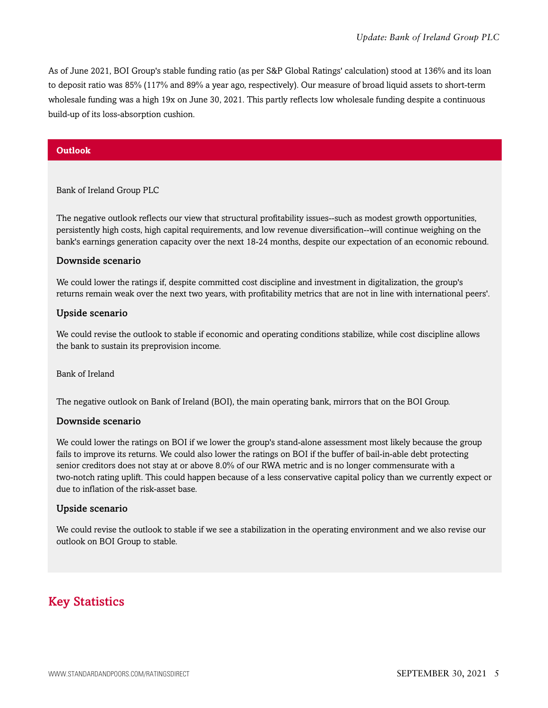As of June 2021, BOI Group's stable funding ratio (as per S&P Global Ratings' calculation) stood at 136% and its loan to deposit ratio was 85% (117% and 89% a year ago, respectively). Our measure of broad liquid assets to short-term wholesale funding was a high 19x on June 30, 2021. This partly reflects low wholesale funding despite a continuous build-up of its loss-absorption cushion.

#### **Outlook**

Bank of Ireland Group PLC

The negative outlook reflects our view that structural profitability issues--such as modest growth opportunities, persistently high costs, high capital requirements, and low revenue diversification--will continue weighing on the bank's earnings generation capacity over the next 18-24 months, despite our expectation of an economic rebound.

#### Downside scenario

We could lower the ratings if, despite committed cost discipline and investment in digitalization, the group's returns remain weak over the next two years, with profitability metrics that are not in line with international peers'.

#### Upside scenario

We could revise the outlook to stable if economic and operating conditions stabilize, while cost discipline allows the bank to sustain its preprovision income.

Bank of Ireland

The negative outlook on Bank of Ireland (BOI), the main operating bank, mirrors that on the BOI Group.

#### Downside scenario

We could lower the ratings on BOI if we lower the group's stand-alone assessment most likely because the group fails to improve its returns. We could also lower the ratings on BOI if the buffer of bail-in-able debt protecting senior creditors does not stay at or above 8.0% of our RWA metric and is no longer commensurate with a two-notch rating uplift. This could happen because of a less conservative capital policy than we currently expect or due to inflation of the risk-asset base.

#### Upside scenario

We could revise the outlook to stable if we see a stabilization in the operating environment and we also revise our outlook on BOI Group to stable.

## <span id="page-4-0"></span>Key Statistics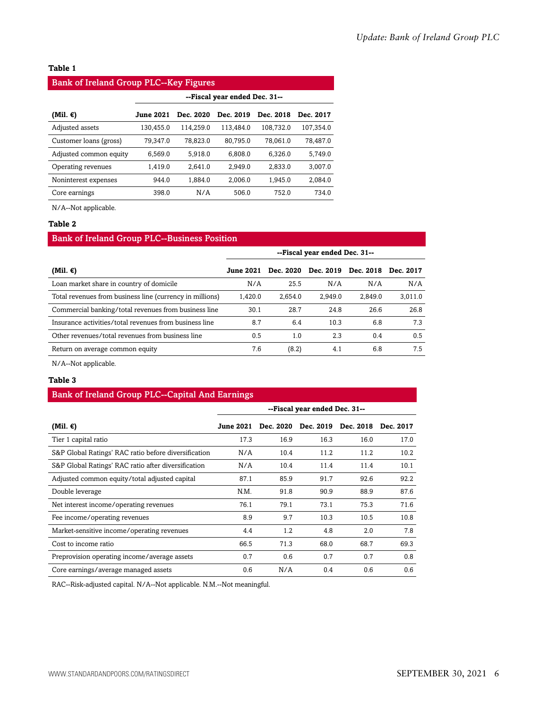#### **Table 1**

#### Bank of Ireland Group PLC--Key Figures

|                        | --Fiscal year ended Dec. 31-- |           |           |           |           |  |
|------------------------|-------------------------------|-----------|-----------|-----------|-----------|--|
| (Mil. €)               | <b>June 2021</b>              | Dec. 2020 | Dec. 2019 | Dec. 2018 | Dec. 2017 |  |
| Adjusted assets        | 130,455.0                     | 114.259.0 | 113.484.0 | 108,732.0 | 107,354.0 |  |
| Customer loans (gross) | 79,347.0                      | 78,823.0  | 80.795.0  | 78,061.0  | 78,487.0  |  |
| Adjusted common equity | 6,569.0                       | 5,918.0   | 6,808.0   | 6,326.0   | 5,749.0   |  |
| Operating revenues     | 1,419.0                       | 2.641.0   | 2.949.0   | 2,833.0   | 3,007.0   |  |
| Noninterest expenses   | 944.0                         | 1.884.0   | 2.006.0   | 1.945.0   | 2,084.0   |  |
| Core earnings          | 398.0                         | N/A       | 506.0     | 752.0     | 734.0     |  |

N/A--Not applicable.

#### **Table 2**

#### Bank of Ireland Group PLC--Business Position

|                                                          | --Fiscal year ended Dec. 31-- |           |           |           |           |
|----------------------------------------------------------|-------------------------------|-----------|-----------|-----------|-----------|
| (Mil. €)                                                 | <b>June 2021</b>              | Dec. 2020 | Dec. 2019 | Dec. 2018 | Dec. 2017 |
| Loan market share in country of domicile                 | N/A                           | 25.5      | N/A       | N/A       | N/A       |
| Total revenues from business line (currency in millions) | 1.420.0                       | 2.654.0   | 2.949.0   | 2.849.0   | 3.011.0   |
| Commercial banking/total revenues from business line     | 30.1                          | 28.7      | 24.8      | 26.6      | 26.8      |
| Insurance activities/total revenues from business line   | 8.7                           | 6.4       | 10.3      | 6.8       | 7.3       |
| Other revenues/total revenues from business line         | 0.5                           | 1.0       | 2.3       | 0.4       | 0.5       |
| Return on average common equity                          | 7.6                           | (8.2)     | 4.1       | 6.8       | 7.5       |
|                                                          |                               |           |           |           |           |

N/A--Not applicable.

#### **Table 3**

#### Bank of Ireland Group PLC--Capital And Earnings

|                                                      | --Fiscal year ended Dec. 31-- |           |           |           |           |
|------------------------------------------------------|-------------------------------|-----------|-----------|-----------|-----------|
| (Mil. €)                                             | <b>June 2021</b>              | Dec. 2020 | Dec. 2019 | Dec. 2018 | Dec. 2017 |
| Tier 1 capital ratio                                 | 17.3                          | 16.9      | 16.3      | 16.0      | 17.0      |
| S&P Global Ratings' RAC ratio before diversification | N/A                           | 10.4      | 11.2      | 11.2      | 10.2      |
| S&P Global Ratings' RAC ratio after diversification  | N/A                           | 10.4      | 11.4      | 11.4      | 10.1      |
| Adjusted common equity/total adjusted capital        | 87.1                          | 85.9      | 91.7      | 92.6      | 92.2      |
| Double leverage                                      | N.M.                          | 91.8      | 90.9      | 88.9      | 87.6      |
| Net interest income/operating revenues               | 76.1                          | 79.1      | 73.1      | 75.3      | 71.6      |
| Fee income/operating revenues                        | 8.9                           | 9.7       | 10.3      | 10.5      | 10.8      |
| Market-sensitive income/operating revenues           | 4.4                           | 1.2       | 4.8       | 2.0       | 7.8       |
| Cost to income ratio                                 | 66.5                          | 71.3      | 68.0      | 68.7      | 69.3      |
| Preprovision operating income/average assets         | 0.7                           | 0.6       | 0.7       | 0.7       | 0.8       |
| Core earnings/average managed assets                 | 0.6                           | N/A       | 0.4       | 0.6       | 0.6       |

RAC--Risk-adjusted capital. N/A--Not applicable. N.M.--Not meaningful.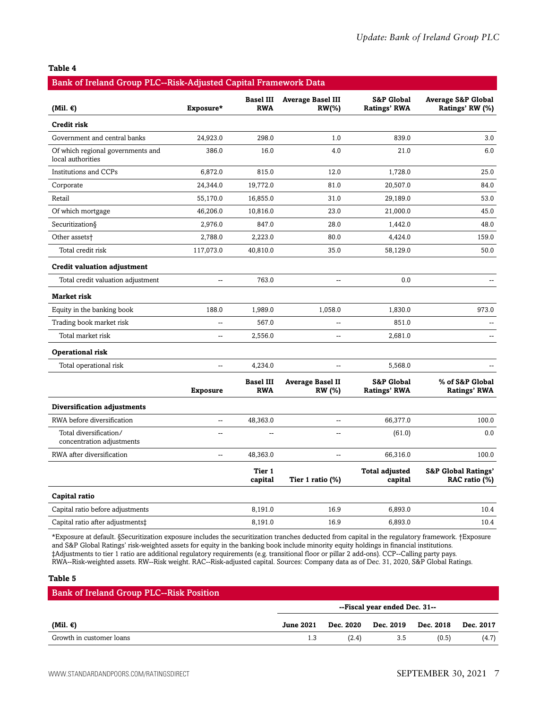#### **Table 4**

| Bank of Ireland Group PLC--Risk-Adjusted Capital Framework Data |                          |                                |                                          |                                              |                                                  |  |  |
|-----------------------------------------------------------------|--------------------------|--------------------------------|------------------------------------------|----------------------------------------------|--------------------------------------------------|--|--|
| (Mil. $\epsilon$ )                                              | Exposure*                | <b>Basel III</b><br><b>RWA</b> | <b>Average Basel III</b><br>$RW(\% )$    | <b>S&amp;P Global</b><br><b>Ratings' RWA</b> | <b>Average S&amp;P Global</b><br>Ratings' RW (%) |  |  |
| Credit risk                                                     |                          |                                |                                          |                                              |                                                  |  |  |
| Government and central banks                                    | 24,923.0                 | 298.0                          | 1.0                                      | 839.0                                        | 3.0                                              |  |  |
| Of which regional governments and<br>local authorities          | 386.0                    | 16.0                           | 4.0                                      | 21.0                                         | 6.0                                              |  |  |
| Institutions and CCPs                                           | 6,872.0                  | 815.0                          | 12.0                                     | 1,728.0                                      | 25.0                                             |  |  |
| Corporate                                                       | 24,344.0                 | 19,772.0                       | 81.0                                     | 20,507.0                                     | 84.0                                             |  |  |
| Retail                                                          | 55,170.0                 | 16,855.0                       | 31.0                                     | 29,189.0                                     | 53.0                                             |  |  |
| Of which mortgage                                               | 46,206.0                 | 10,816.0                       | 23.0                                     | 21,000.0                                     | 45.0                                             |  |  |
| Securitization§                                                 | 2,976.0                  | 847.0                          | 28.0                                     | 1,442.0                                      | 48.0                                             |  |  |
| Other assets <sup>+</sup>                                       | 2,788.0                  | 2,223.0                        | 80.0                                     | 4,424.0                                      | 159.0                                            |  |  |
| Total credit risk                                               | 117,073.0                | 40,810.0                       | 35.0                                     | 58,129.0                                     | 50.0                                             |  |  |
| <b>Credit valuation adjustment</b>                              |                          |                                |                                          |                                              |                                                  |  |  |
| Total credit valuation adjustment                               | $\ddotsc$                | 763.0                          | --                                       | 0.0                                          |                                                  |  |  |
| <b>Market risk</b>                                              |                          |                                |                                          |                                              |                                                  |  |  |
| Equity in the banking book                                      | 188.0                    | 1,989.0                        | 1,058.0                                  | 1,830.0                                      | 973.0                                            |  |  |
| Trading book market risk                                        | --                       | 567.0                          | --                                       | 851.0                                        |                                                  |  |  |
| Total market risk                                               | $\sim$                   | 2,556.0                        | $\overline{a}$                           | 2,681.0                                      | $\overline{a}$                                   |  |  |
| Operational risk                                                |                          |                                |                                          |                                              |                                                  |  |  |
| Total operational risk                                          | --                       | 4,234.0                        | Ξ.                                       | 5,568.0                                      |                                                  |  |  |
|                                                                 | <b>Exposure</b>          | <b>Basel III</b><br><b>RWA</b> | <b>Average Basel II</b><br><b>RW</b> (%) | <b>S&amp;P Global</b><br><b>Ratings' RWA</b> | % of S&P Global<br><b>Ratings' RWA</b>           |  |  |
| Diversification adjustments                                     |                          |                                |                                          |                                              |                                                  |  |  |
| RWA before diversification                                      | --                       | 48,363.0                       | $\overline{a}$                           | 66,377.0                                     | 100.0                                            |  |  |
| Total diversification/<br>concentration adjustments             | $\overline{a}$           |                                | $\overline{a}$                           | (61.0)                                       | 0.0                                              |  |  |
| RWA after diversification                                       | $\overline{\phantom{a}}$ | 48,363.0                       | --                                       | 66,316.0                                     | 100.0                                            |  |  |
|                                                                 |                          | Tier 1<br>capital              | Tier 1 ratio (%)                         | <b>Total adjusted</b><br>capital             | <b>S&amp;P Global Ratings'</b><br>RAC ratio (%)  |  |  |
| Capital ratio                                                   |                          |                                |                                          |                                              |                                                  |  |  |
| Capital ratio before adjustments                                |                          | 8,191.0                        | 16.9                                     | 6,893.0                                      | 10.4                                             |  |  |
| Capital ratio after adjustments‡                                |                          | 8,191.0                        | 16.9                                     | 6,893.0                                      | 10.4                                             |  |  |

\*Exposure at default. §Securitization exposure includes the securitization tranches deducted from capital in the regulatory framework. †Exposure and S&P Global Ratings' risk-weighted assets for equity in the banking book include minority equity holdings in financial institutions. ‡Adjustments to tier 1 ratio are additional regulatory requirements (e.g. transitional floor or pillar 2 add-ons). CCP--Calling party pays. RWA--Risk-weighted assets. RW--Risk weight. RAC--Risk-adjusted capital. Sources: Company data as of Dec. 31, 2020, S&P Global Ratings.

#### **Table 5**

| <b>Bank of Ireland Group PLC--Risk Position</b> |                  |       |                               |       |           |
|-------------------------------------------------|------------------|-------|-------------------------------|-------|-----------|
|                                                 |                  |       | --Fiscal year ended Dec. 31-- |       |           |
| (Mil. $\epsilon$ )                              | <b>June 2021</b> |       | Dec. 2020 Dec. 2019 Dec. 2018 |       | Dec. 2017 |
| Growth in customer loans                        |                  | (2.4) | 3.5                           | (0.5) | (4.7)     |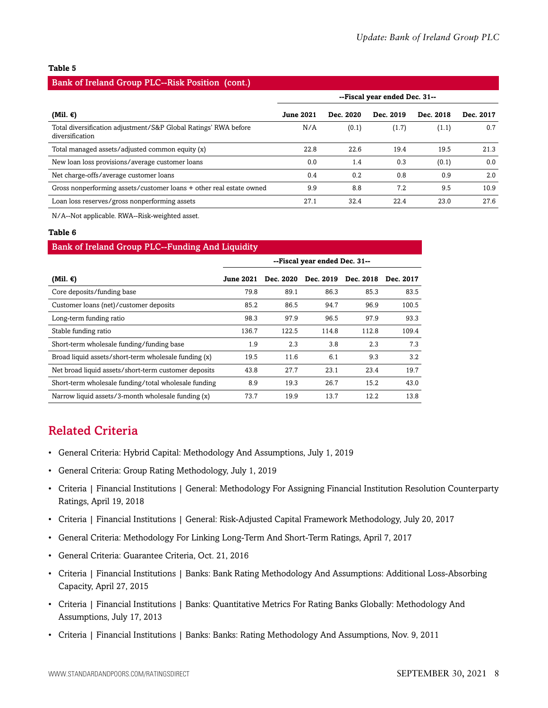#### **Table 5**

#### Bank of Ireland Group PLC--Risk Position (cont.)

|                                                                                    | --Fiscal year ended Dec. 31-- |           |           |           |           |
|------------------------------------------------------------------------------------|-------------------------------|-----------|-----------|-----------|-----------|
|                                                                                    | <b>June 2021</b>              | Dec. 2020 | Dec. 2019 | Dec. 2018 | Dec. 2017 |
| (Mil. €)                                                                           |                               |           |           |           |           |
| Total diversification adjustment/S&P Global Ratings' RWA before<br>diversification | N/A                           | (0.1)     | (1.7)     | (1.1)     | 0.7       |
| Total managed assets/adjusted common equity (x)                                    | 22.8                          | 22.6      | 19.4      | 19.5      | 21.3      |
| New loan loss provisions/average customer loans                                    | 0.0                           | 1.4       | 0.3       | (0.1)     | 0.0       |
| Net charge-offs/average customer loans                                             | 0.4                           | 0.2       | 0.8       | 0.9       | 2.0       |
| Gross nonperforming assets/customer loans + other real estate owned                | 9.9                           | 8.8       | 7.2       | 9.5       | 10.9      |
| Loan loss reserves/gross nonperforming assets                                      | 27.1                          | 32.4      | 22.4      | 23.0      | 27.6      |

N/A--Not applicable. RWA--Risk-weighted asset.

#### **Table 6**

### Bank of Ireland Group PLC--Funding And Liquidity **--Fiscal year ended Dec. 31-- (Mil. €) June 2021 Dec. 2020 Dec. 2019 Dec. 2018 Dec. 2017** Core deposits/funding base  $79.8$  89.1 86.3 85.3 83.5 Customer loans (net)/customer deposits 85.2 86.5 94.7 96.9 100.5 Long-term funding ratio 98.3 97.9 96.5 97.9 93.3 Stable funding ratio 136.7 122.5 114.8 112.8 109.4 Short-term wholesale funding/funding base 1.9 2.3 3.8 2.3 7.3 7.3 Broad liquid assets/short-term wholesale funding (x)  $19.5$  11.6 6.1 9.3 3.2 3.2 Net broad liquid assets/short-term customer deposits 43.8 27.7 23.1 23.4 19.7 Short-term wholesale funding/total wholesale funding  $8.9$  19.3 26.7 15.2 43.0 Narrow liquid assets/3-month wholesale funding (x)  $\begin{array}{cccc} 73.7 & 19.9 & 13.7 & 12.2 & 13.8 \end{array}$

## <span id="page-7-0"></span>Related Criteria

- General Criteria: Hybrid Capital: Methodology And Assumptions, July 1, 2019
- General Criteria: Group Rating Methodology, July 1, 2019
- Criteria | Financial Institutions | General: Methodology For Assigning Financial Institution Resolution Counterparty Ratings, April 19, 2018
- Criteria | Financial Institutions | General: Risk-Adjusted Capital Framework Methodology, July 20, 2017
- General Criteria: Methodology For Linking Long-Term And Short-Term Ratings, April 7, 2017
- General Criteria: Guarantee Criteria, Oct. 21, 2016
- Criteria | Financial Institutions | Banks: Bank Rating Methodology And Assumptions: Additional Loss-Absorbing Capacity, April 27, 2015
- Criteria | Financial Institutions | Banks: Quantitative Metrics For Rating Banks Globally: Methodology And Assumptions, July 17, 2013
- Criteria | Financial Institutions | Banks: Banks: Rating Methodology And Assumptions, Nov. 9, 2011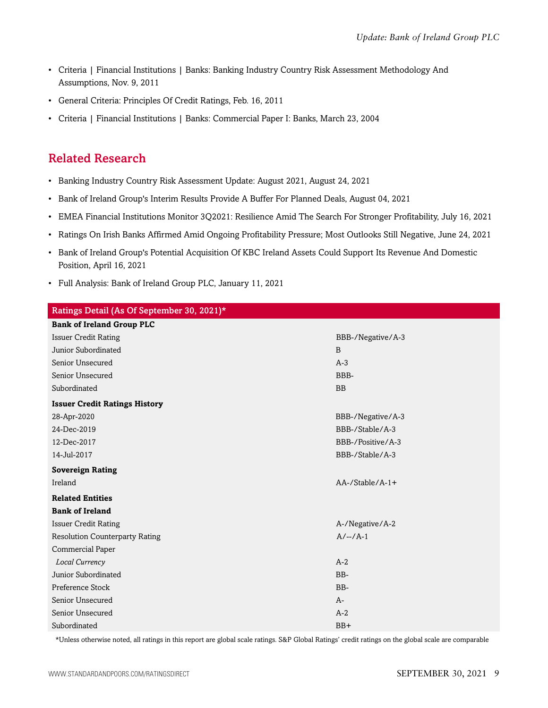- Criteria | Financial Institutions | Banks: Banking Industry Country Risk Assessment Methodology And Assumptions, Nov. 9, 2011
- General Criteria: Principles Of Credit Ratings, Feb. 16, 2011
- Criteria | Financial Institutions | Banks: Commercial Paper I: Banks, March 23, 2004

# <span id="page-8-0"></span>Related Research

- Banking Industry Country Risk Assessment Update: August 2021, August 24, 2021
- Bank of Ireland Group's Interim Results Provide A Buffer For Planned Deals, August 04, 2021
- EMEA Financial Institutions Monitor 3Q2021: Resilience Amid The Search For Stronger Profitability, July 16, 2021
- Ratings On Irish Banks Affirmed Amid Ongoing Profitability Pressure; Most Outlooks Still Negative, June 24, 2021
- Bank of Ireland Group's Potential Acquisition Of KBC Ireland Assets Could Support Its Revenue And Domestic Position, April 16, 2021
- Full Analysis: Bank of Ireland Group PLC, January 11, 2021

| Ratings Detail (As Of September 30, 2021)* |                        |
|--------------------------------------------|------------------------|
| <b>Bank of Ireland Group PLC</b>           |                        |
| <b>Issuer Credit Rating</b>                | BBB-/Negative/A-3      |
| Junior Subordinated                        | B                      |
| Senior Unsecured                           | $A-3$                  |
| Senior Unsecured                           | BBB-                   |
| Subordinated                               | <b>BB</b>              |
| <b>Issuer Credit Ratings History</b>       |                        |
| 28-Apr-2020                                | BBB-/Negative/A-3      |
| 24-Dec-2019                                | BBB-/Stable/A-3        |
| 12-Dec-2017                                | BBB-/Positive/A-3      |
| 14-Jul-2017                                | BBB-/Stable/A-3        |
| <b>Sovereign Rating</b>                    |                        |
| Ireland                                    | $AA$ -/Stable/ $A$ -1+ |
| <b>Related Entities</b>                    |                        |
| <b>Bank of Ireland</b>                     |                        |
| <b>Issuer Credit Rating</b>                | A-/Negative/A-2        |
| <b>Resolution Counterparty Rating</b>      | $A/-/A-1$              |
| Commercial Paper                           |                        |
| Local Currency                             | $A-2$                  |
| Junior Subordinated                        | BB-                    |
| Preference Stock                           | BB-                    |
| Senior Unsecured                           | $A-$                   |
| Senior Unsecured                           | $A-2$                  |
| Subordinated                               | $BB+$                  |

\*Unless otherwise noted, all ratings in this report are global scale ratings. S&P Global Ratings' credit ratings on the global scale are comparable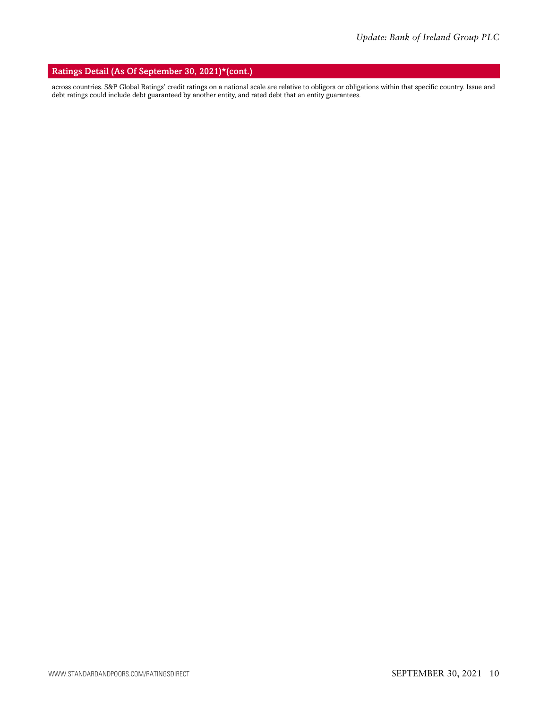#### Ratings Detail (As Of September 30, 2021)\*(cont.)

across countries. S&P Global Ratings' credit ratings on a national scale are relative to obligors or obligations within that specific country. Issue and debt ratings could include debt guaranteed by another entity, and rated debt that an entity guarantees.